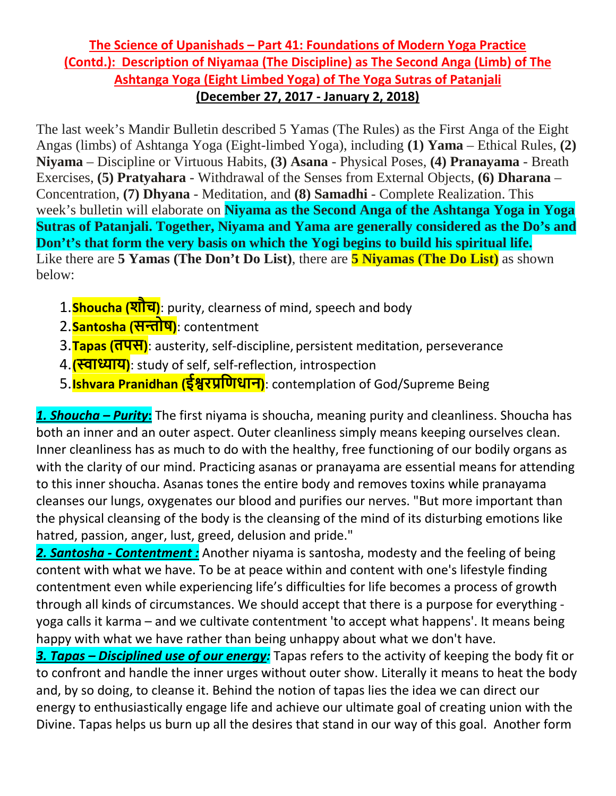## **The Science of Upanishads – Part 41: Foundations of Modern Yoga Practice (Contd.): Description of Niyamaa (The Discipline) as The Second Anga (Limb) of The Ashtanga Yoga (Eight Limbed Yoga) of The Yoga Sutras of Patanjali (December 27, 2017 - January 2, 2018)**

The last week's Mandir Bulletin described 5 Yamas (The Rules) as the First Anga of the Eight Angas (limbs) of Ashtanga Yoga (Eight-limbed Yoga), including **(1) Yama** – Ethical Rules, **(2) Niyama** – Discipline or Virtuous Habits, **(3) Asana** - Physical Poses, **(4) Pranayama** - Breath Exercises, **(5) Pratyahara** - Withdrawal of the Senses from External Objects, **(6) Dharana** – Concentration, **(7) Dhyana** - Meditation, and **(8) Samadhi** - Complete Realization. This week's bulletin will elaborate on **Niyama as the Second Anga of the Ashtanga Yoga in Yoga Sutras of Patanjali. Together, Niyama and Yama are generally considered as the Do's and Don't's that form the very basis on which the Yogi begins to build his spiritual life.** Like there are **5 Yamas (The Don't Do List)**, there are **5 Niyamas (The Do List)** as shown below:

- 1.**Shoucha (शौच)**: purity, clearness of mind, speech and body
- 2.**Santosha (स�ोष)**: contentment
- 3.**Tapas (तपस)**: austerity, self-discipline, persistent meditation, perseverance
- 4.**(�ा�ाय)**: study of self, self-reflection, introspection
- 5.**Ishvara Pranidhan (ई�रप्रिणधान)**: contemplation of God/Supreme Being

*1. Shoucha – Purity***:** The first niyama is shoucha, meaning purity and cleanliness. Shoucha has both an inner and an outer aspect. Outer cleanliness simply means keeping ourselves clean. Inner cleanliness has as much to do with the healthy, free functioning of our bodily organs as with the clarity of our mind. Practicing asanas or pranayama are essential means for attending to this inner shoucha. Asanas tones the entire body and removes toxins while pranayama cleanses our lungs, oxygenates our blood and purifies our nerves. "But more important than the physical cleansing of the body is the cleansing of the mind of its disturbing emotions like hatred, passion, anger, lust, greed, delusion and pride."

*2. Santosha - Contentment :* Another niyama is santosha, modesty and the feeling of being content with what we have. To be at peace within and content with one's lifestyle finding contentment even while experiencing life's difficulties for life becomes a process of growth through all kinds of circumstances. We should accept that there is a purpose for everything yoga calls it karma – and we cultivate contentment 'to accept what happens'. It means being happy with what we have rather than being unhappy about what we don't have.

*3. Tapas – Disciplined use of our energy:* Tapas refers to the activity of keeping the body fit or to confront and handle the inner urges without outer show. Literally it means to heat the body and, by so doing, to cleanse it. Behind the notion of tapas lies the idea we can direct our energy to enthusiastically engage life and achieve our ultimate goal of creating union with the Divine. Tapas helps us burn up all the desires that stand in our way of this goal. Another form